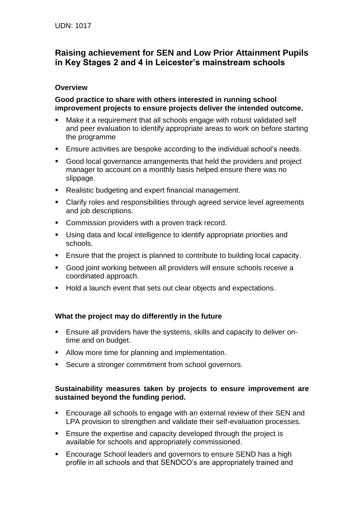# **Raising achievement for SEN and Low Prior Attainment Pupils in Key Stages 2 and 4 in Leicester's mainstream schools**

## **Overview**

#### **Good practice to share with others interested in running school improvement projects to ensure projects deliver the intended outcome.**

- Make it a requirement that all schools engage with robust validated self and peer evaluation to identify appropriate areas to work on before starting the programme
- Ensure activities are bespoke according to the individual school's needs.
- Good local governance arrangements that held the providers and project manager to account on a monthly basis helped ensure there was no slippage.
- Realistic budgeting and expert financial management.
- Clarify roles and responsibilities through agreed service level agreements and job descriptions.
- **Commission providers with a proven track record.**
- Using data and local intelligence to identify appropriate priorities and schools.
- Ensure that the project is planned to contribute to building local capacity.
- Good joint working between all providers will ensure schools receive a coordinated approach.
- **Hold a launch event that sets out clear objects and expectations.**

# **What the project may do differently in the future**

- Ensure all providers have the systems, skills and capacity to deliver ontime and on budget.
- Allow more time for planning and implementation.
- **Secure a stronger commitment from school governors.**

### **Sustainability measures taken by projects to ensure improvement are sustained beyond the funding period.**

- Encourage all schools to engage with an external review of their SEN and LPA provision to strengthen and validate their self-evaluation processes.
- **Ensure the expertise and capacity developed through the project is** available for schools and appropriately commissioned.
- **Encourage School leaders and governors to ensure SEND has a high** profile in all schools and that SENDCO's are appropriately trained and